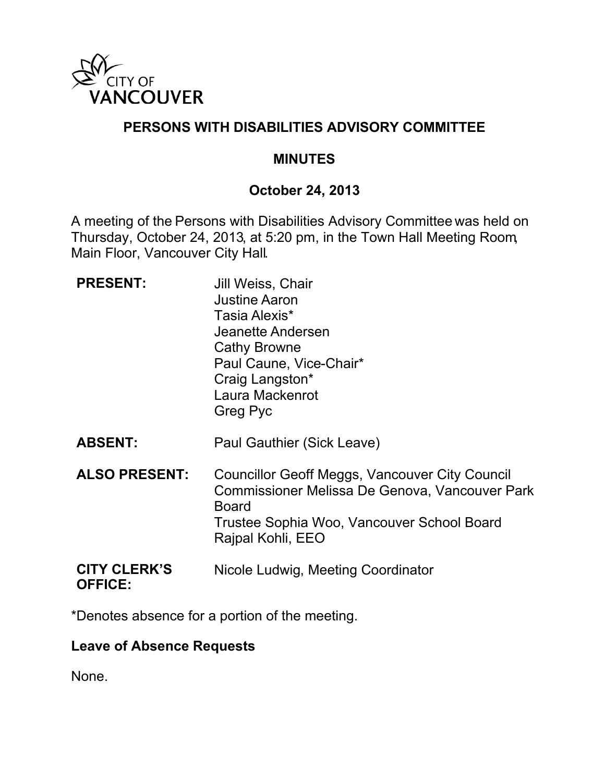

# **PERSONS WITH DISABILITIES ADVISORY COMMITTEE**

#### **MINUTES**

## **October 24, 2013**

A meeting of the Persons with Disabilities Advisory Committee was held on Thursday, October 24, 2013, at 5:20 pm, in the Town Hall Meeting Room, Main Floor, Vancouver City Hall.

| <b>PRESENT:</b>                       | Jill Weiss, Chair<br><b>Justine Aaron</b><br>Tasia Alexis*<br>Jeanette Andersen<br>Cathy Browne<br>Paul Caune, Vice-Chair*<br>Craig Langston*<br>Laura Mackenrot<br>Greg Pyc        |
|---------------------------------------|-------------------------------------------------------------------------------------------------------------------------------------------------------------------------------------|
| <b>ABSENT:</b>                        | Paul Gauthier (Sick Leave)                                                                                                                                                          |
| <b>ALSO PRESENT:</b>                  | Councillor Geoff Meggs, Vancouver City Council<br>Commissioner Melissa De Genova, Vancouver Park<br><b>Board</b><br>Trustee Sophia Woo, Vancouver School Board<br>Rajpal Kohli, EEO |
| <b>CITY CLERK'S</b><br><b>OFFICE:</b> | Nicole Ludwig, Meeting Coordinator                                                                                                                                                  |

\*Denotes absence for a portion of the meeting.

#### **Leave of Absence Requests**

None.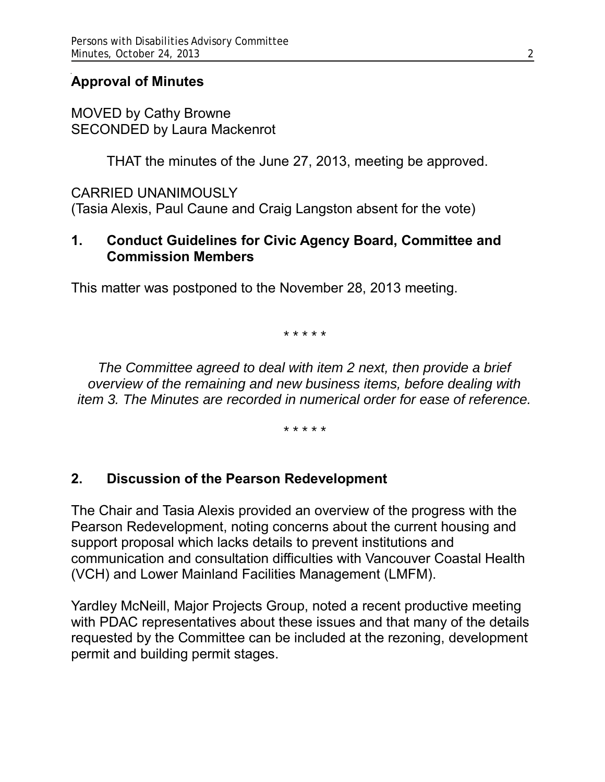## **Approval of Minutes**

MOVED by Cathy Browne SECONDED by Laura Mackenrot

THAT the minutes of the June 27, 2013, meeting be approved.

CARRIED UNANIMOUSLY (Tasia Alexis, Paul Caune and Craig Langston absent for the vote)

## **1. Conduct Guidelines for Civic Agency Board, Committee and Commission Members**

This matter was postponed to the November 28, 2013 meeting.

*\* \* \* \* \**

*The Committee agreed to deal with item 2 next, then provide a brief overview of the remaining and new business items, before dealing with item 3. The Minutes are recorded in numerical order for ease of reference.*

*\* \* \* \* \**

#### **2. Discussion of the Pearson Redevelopment**

The Chair and Tasia Alexis provided an overview of the progress with the Pearson Redevelopment, noting concerns about the current housing and support proposal which lacks details to prevent institutions and communication and consultation difficulties with Vancouver Coastal Health (VCH) and Lower Mainland Facilities Management (LMFM).

Yardley McNeill, Major Projects Group, noted a recent productive meeting with PDAC representatives about these issues and that many of the details requested by the Committee can be included at the rezoning, development permit and building permit stages.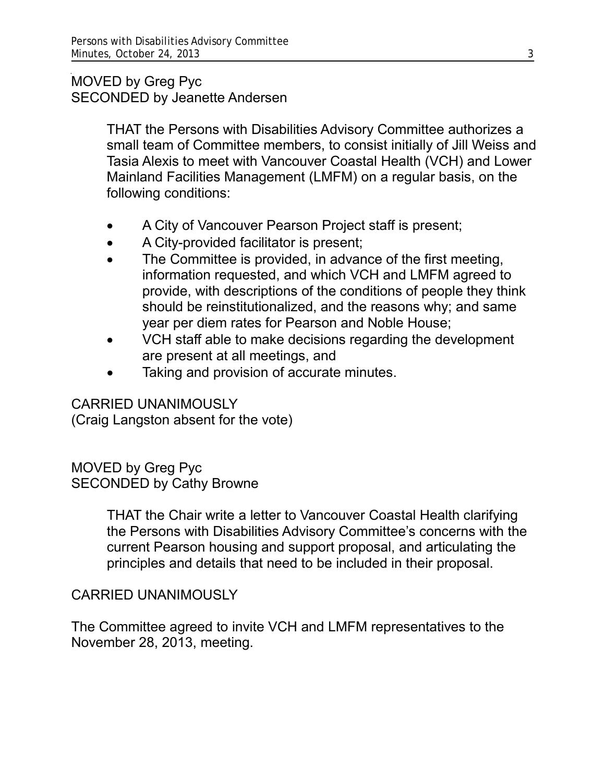## MOVED by Greg Pyc SECONDED by Jeanette Andersen

THAT the Persons with Disabilities Advisory Committee authorizes a small team of Committee members, to consist initially of Jill Weiss and Tasia Alexis to meet with Vancouver Coastal Health (VCH) and Lower Mainland Facilities Management (LMFM) on a regular basis, on the following conditions:

- A City of Vancouver Pearson Project staff is present;
- A City-provided facilitator is present;
- The Committee is provided, in advance of the first meeting, information requested, and which VCH and LMFM agreed to provide, with descriptions of the conditions of people they think should be reinstitutionalized, and the reasons why; and same year per diem rates for Pearson and Noble House;
- VCH staff able to make decisions regarding the development are present at all meetings, and
- Taking and provision of accurate minutes.

## CARRIED UNANIMOUSLY

(Craig Langston absent for the vote)

MOVED by Greg Pyc SECONDED by Cathy Browne

> THAT the Chair write a letter to Vancouver Coastal Health clarifying the Persons with Disabilities Advisory Committee's concerns with the current Pearson housing and support proposal, and articulating the principles and details that need to be included in their proposal.

## CARRIED UNANIMOUSLY

The Committee agreed to invite VCH and LMFM representatives to the November 28, 2013, meeting.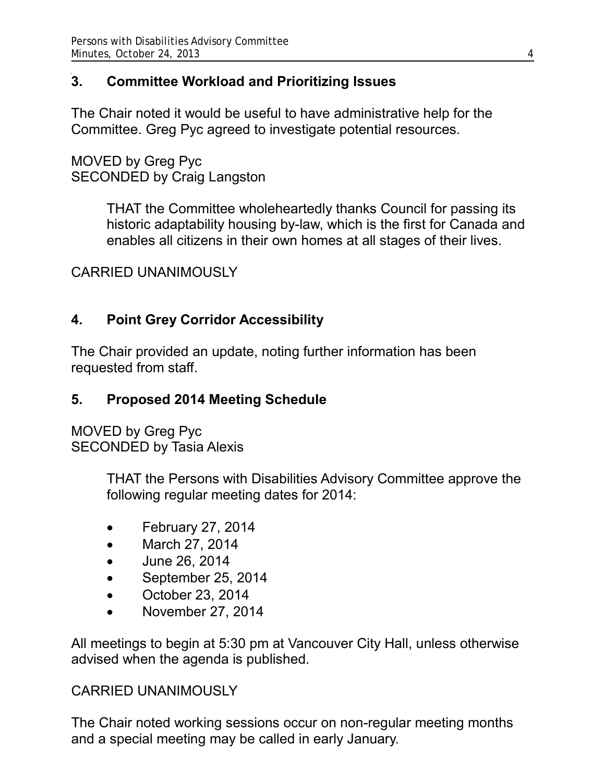# **3. Committee Workload and Prioritizing Issues**

The Chair noted it would be useful to have administrative help for the Committee. Greg Pyc agreed to investigate potential resources.

MOVED by Greg Pyc SECONDED by Craig Langston

> THAT the Committee wholeheartedly thanks Council for passing its historic adaptability housing by-law, which is the first for Canada and enables all citizens in their own homes at all stages of their lives.

## CARRIED UNANIMOUSLY

## **4. Point Grey Corridor Accessibility**

The Chair provided an update, noting further information has been requested from staff.

#### **5. Proposed 2014 Meeting Schedule**

MOVED by Greg Pyc SECONDED by Tasia Alexis

> THAT the Persons with Disabilities Advisory Committee approve the following regular meeting dates for 2014:

- February 27, 2014
- March 27, 2014
- June 26, 2014
- September 25, 2014
- October 23, 2014
- November 27, 2014

All meetings to begin at 5:30 pm at Vancouver City Hall, unless otherwise advised when the agenda is published.

#### CARRIED UNANIMOUSLY

The Chair noted working sessions occur on non-regular meeting months and a special meeting may be called in early January.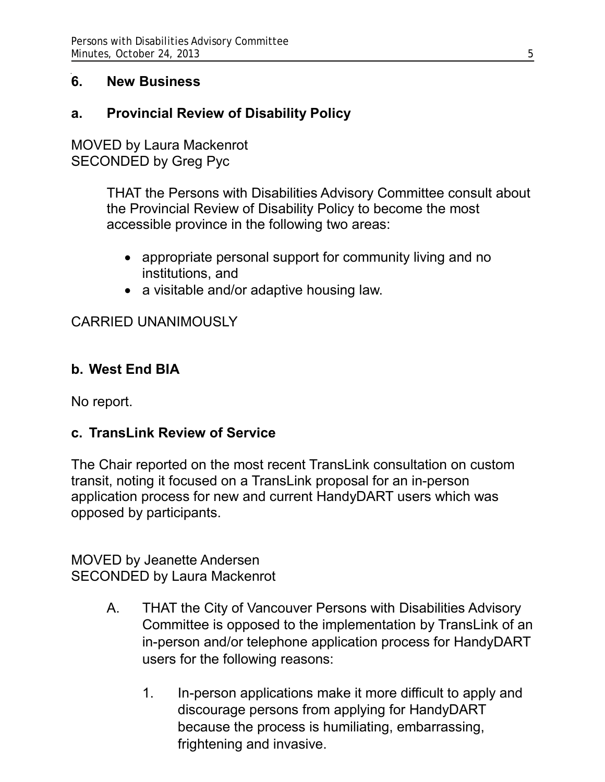## **6. New Business**

## **a. Provincial Review of Disability Policy**

MOVED by Laura Mackenrot SECONDED by Greg Pyc

> THAT the Persons with Disabilities Advisory Committee consult about the Provincial Review of Disability Policy to become the most accessible province in the following two areas:

- appropriate personal support for community living and no institutions, and
- a visitable and/or adaptive housing law.

## CARRIED UNANIMOUSLY

#### **b. West End BIA**

No report.

#### **c. TransLink Review of Service**

The Chair reported on the most recent TransLink consultation on custom transit, noting it focused on a TransLink proposal for an in-person application process for new and current HandyDART users which was opposed by participants.

MOVED by Jeanette Andersen SECONDED by Laura Mackenrot

- A. THAT the City of Vancouver Persons with Disabilities Advisory Committee is opposed to the implementation by TransLink of an in-person and/or telephone application process for HandyDART users for the following reasons:
	- 1. In-person applications make it more difficult to apply and discourage persons from applying for HandyDART because the process is humiliating, embarrassing, frightening and invasive.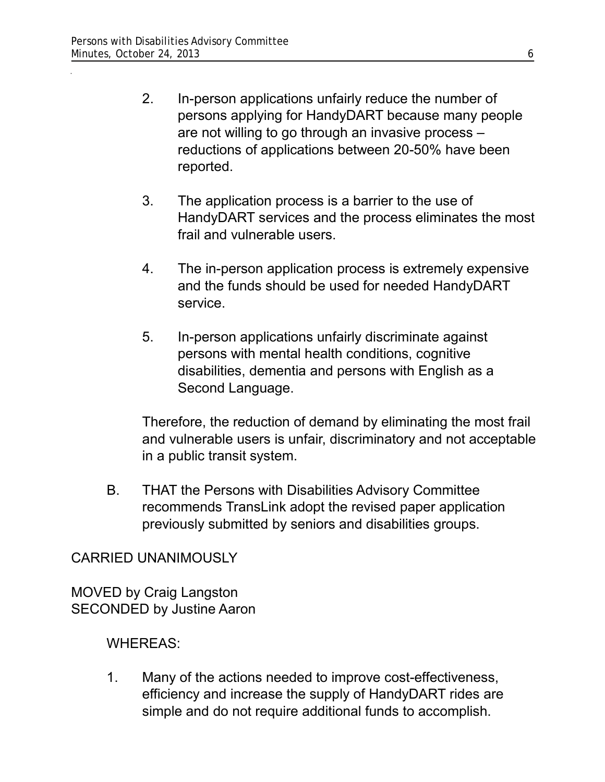- 2. In-person applications unfairly reduce the number of persons applying for HandyDART because many people are not willing to go through an invasive process – reductions of applications between 20-50% have been reported.
- 3. The application process is a barrier to the use of HandyDART services and the process eliminates the most frail and vulnerable users.
- 4. The in-person application process is extremely expensive and the funds should be used for needed HandyDART service.
- 5. In-person applications unfairly discriminate against persons with mental health conditions, cognitive disabilities, dementia and persons with English as a Second Language.

Therefore, the reduction of demand by eliminating the most frail and vulnerable users is unfair, discriminatory and not acceptable in a public transit system.

B. THAT the Persons with Disabilities Advisory Committee recommends TransLink adopt the revised paper application previously submitted by seniors and disabilities groups.

## CARRIED UNANIMOUSLY

MOVED by Craig Langston SECONDED by Justine Aaron

## WHEREAS:

1. Many of the actions needed to improve cost-effectiveness, efficiency and increase the supply of HandyDART rides are simple and do not require additional funds to accomplish.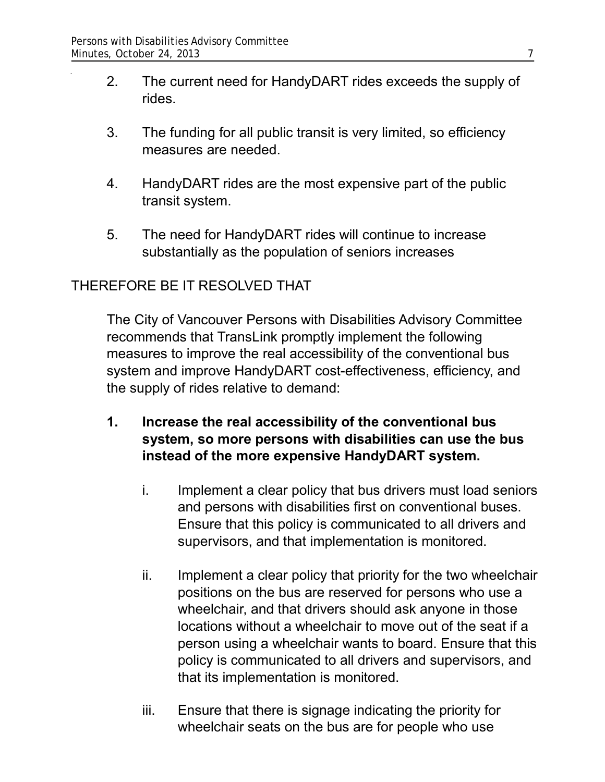- 2. The current need for HandyDART rides exceeds the supply of rides.
- 3. The funding for all public transit is very limited, so efficiency measures are needed.
- 4. HandyDART rides are the most expensive part of the public transit system.
- 5. The need for HandyDART rides will continue to increase substantially as the population of seniors increases

## THEREFORE BE IT RESOLVED THAT

The City of Vancouver Persons with Disabilities Advisory Committee recommends that TransLink promptly implement the following measures to improve the real accessibility of the conventional bus system and improve HandyDART cost-effectiveness, efficiency, and the supply of rides relative to demand:

- **1. Increase the real accessibility of the conventional bus system, so more persons with disabilities can use the bus instead of the more expensive HandyDART system.** 
	- i. Implement a clear policy that bus drivers must load seniors and persons with disabilities first on conventional buses. Ensure that this policy is communicated to all drivers and supervisors, and that implementation is monitored.
	- ii. Implement a clear policy that priority for the two wheelchair positions on the bus are reserved for persons who use a wheelchair, and that drivers should ask anyone in those locations without a wheelchair to move out of the seat if a person using a wheelchair wants to board. Ensure that this policy is communicated to all drivers and supervisors, and that its implementation is monitored.
	- iii. Ensure that there is signage indicating the priority for wheelchair seats on the bus are for people who use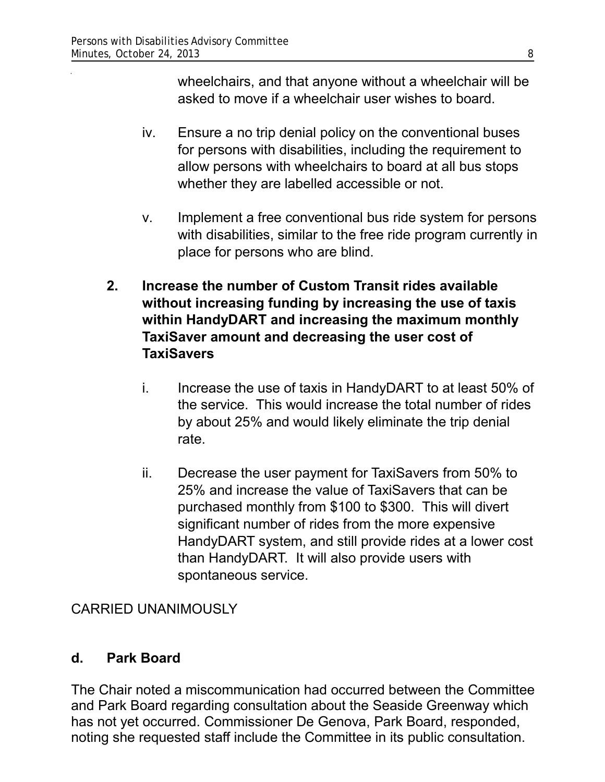wheelchairs, and that anyone without a wheelchair will be asked to move if a wheelchair user wishes to board.

- iv. Ensure a no trip denial policy on the conventional buses for persons with disabilities, including the requirement to allow persons with wheelchairs to board at all bus stops whether they are labelled accessible or not.
- v. Implement a free conventional bus ride system for persons with disabilities, similar to the free ride program currently in place for persons who are blind.
- **2. Increase the number of Custom Transit rides available without increasing funding by increasing the use of taxis within HandyDART and increasing the maximum monthly TaxiSaver amount and decreasing the user cost of TaxiSavers**
	- i. Increase the use of taxis in HandyDART to at least 50% of the service. This would increase the total number of rides by about 25% and would likely eliminate the trip denial rate.
	- ii. Decrease the user payment for TaxiSavers from 50% to 25% and increase the value of TaxiSavers that can be purchased monthly from \$100 to \$300. This will divert significant number of rides from the more expensive HandyDART system, and still provide rides at a lower cost than HandyDART. It will also provide users with spontaneous service.

## CARRIED UNANIMOUSLY

#### **d. Park Board**

The Chair noted a miscommunication had occurred between the Committee and Park Board regarding consultation about the Seaside Greenway which has not yet occurred. Commissioner De Genova, Park Board, responded, noting she requested staff include the Committee in its public consultation.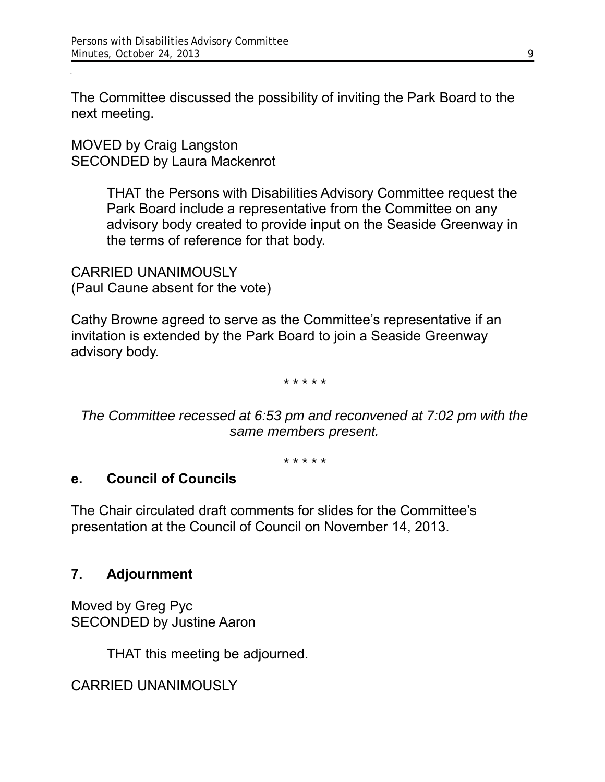The Committee discussed the possibility of inviting the Park Board to the next meeting.

MOVED by Craig Langston SECONDED by Laura Mackenrot

> THAT the Persons with Disabilities Advisory Committee request the Park Board include a representative from the Committee on any advisory body created to provide input on the Seaside Greenway in the terms of reference for that body.

CARRIED UNANIMOUSLY (Paul Caune absent for the vote)

Cathy Browne agreed to serve as the Committee's representative if an invitation is extended by the Park Board to join a Seaside Greenway advisory body.

*\* \* \* \* \**

*The Committee recessed at 6:53 pm and reconvened at 7:02 pm with the same members present.*

*\* \* \* \* \**

#### **e. Council of Councils**

The Chair circulated draft comments for slides for the Committee's presentation at the Council of Council on November 14, 2013.

#### **7. Adjournment**

Moved by Greg Pyc SECONDED by Justine Aaron

THAT this meeting be adjourned.

CARRIED UNANIMOUSLY